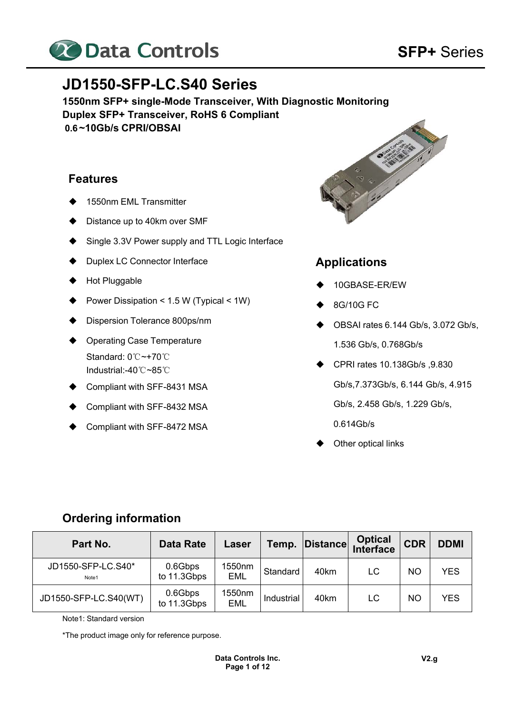

# **JD1550-SFP-LC.S40 Series**

**1550nm SFP+ single-Mode Transceiver, With Diagnostic Monitoring Duplex SFP+ Transceiver, RoHS 6 Compliant 0.6 ~10Gb/s CPRI/OBSAI** 

## **Features**

- 1550nm EML Transmitter
- Distance up to 40km over SMF
- Single 3.3V Power supply and TTL Logic Interface
- Duplex LC Connector Interface
- Hot Pluggable
- Power Dissipation < 1.5 W (Typical < 1W)
- Dispersion Tolerance 800ps/nm
- ◆ Operating Case Temperature Standard: 0℃~+70℃ Industrial:-40℃~85℃
- Compliant with SFF-8431 MSA
- Compliant with SFF-8432 MSA
- Compliant with SFF-8472 MSA



# **Applications**

- 10GBASE-ER/EW
- $\bullet$  8G/10G FC
- $\blacklozenge$  OBSAI rates 6.144 Gb/s, 3.072 Gb/s, 1.536 Gb/s, 0.768Gb/s
- CPRI rates 10.138Gb/s ,9.830

Gb/s,7.373Gb/s, 6.144 Gb/s, 4.915

Gb/s, 2.458 Gb/s, 1.229 Gb/s,

- 0.614Gb/s
- Other optical links

## **Ordering information**

| Part No.                    | <b>Data Rate</b>       | Laser                | Temp.      | <b>Distance</b> | <b>Optical</b><br>Interface | <b>CDR</b> | <b>DDMI</b> |
|-----------------------------|------------------------|----------------------|------------|-----------------|-----------------------------|------------|-------------|
| JD1550-SFP-LC.S40*<br>Note1 | 0.6Gbps<br>to 11.3Gbps | 1550nm<br><b>EML</b> | Standard   | 40km            | LC                          | <b>NO</b>  | <b>YES</b>  |
| JD1550-SFP-LC.S40(WT)       | 0.6Gbps<br>to 11.3Gbps | 1550nm<br><b>EML</b> | Industrial | 40km            | LC                          | NO         | <b>YES</b>  |

Note1: Standard version

\*The product image only for reference purpose.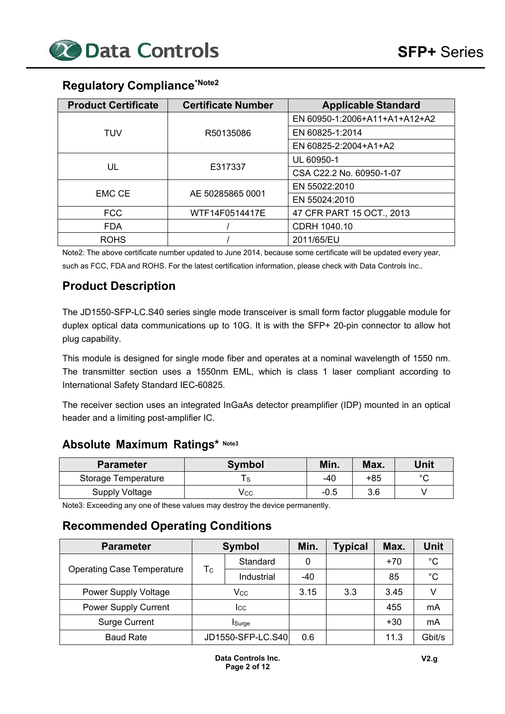# **Regulatory Compliance\*Note2**

| <b>Product Certificate</b> | <b>Certificate Number</b> | <b>Applicable Standard</b>    |  |  |
|----------------------------|---------------------------|-------------------------------|--|--|
|                            |                           | EN 60950-1:2006+A11+A1+A12+A2 |  |  |
| TUV                        | R50135086                 | EN 60825-1:2014               |  |  |
|                            |                           | EN 60825-2:2004+A1+A2         |  |  |
|                            |                           | UL 60950-1                    |  |  |
| UL                         | E317337                   | CSA C22.2 No. 60950-1-07      |  |  |
|                            |                           | EN 55022:2010                 |  |  |
| <b>EMC CE</b>              | AE 50285865 0001          | EN 55024:2010                 |  |  |
| <b>FCC</b>                 | WTF14F0514417E            | 47 CFR PART 15 OCT., 2013     |  |  |
| <b>FDA</b>                 |                           | CDRH 1040.10                  |  |  |
| <b>ROHS</b>                |                           | 2011/65/EU                    |  |  |

Note2: The above certificate number updated to June 2014, because some certificate will be updated every year, such as FCC, FDA and ROHS. For the latest certification information, please check with Data Controls Inc..

# **Product Description**

The JD1550-SFP-LC.S40 series single mode transceiver is small form factor pluggable module for duplex optical data communications up to 10G. It is with the SFP+ 20-pin connector to allow hot plug capability.

This module is designed for single mode fiber and operates at a nominal wavelength of 1550 nm. The transmitter section uses a 1550nm EML, which is class 1 laser compliant according to International Safety Standard IEC-60825.

The receiver section uses an integrated InGaAs detector preamplifier (IDP) mounted in an optical header and a limiting post-amplifier IC.

## **Absolute Maximum Ratings\* Note3**

| <b>Parameter</b>    | <b>Symbol</b> | Min.   | Max.  | Unit   |
|---------------------|---------------|--------|-------|--------|
| Storage Temperature |               | -40    | $+85$ | $\sim$ |
| Supply Voltage      | Vcc           | $-0.5$ | 3.6   |        |

Note3: Exceeding any one of these values may destroy the device permanently.

# **Recommended Operating Conditions**

| <b>Parameter</b>                  | <b>Symbol</b>  |                   | Min.  | <b>Typical</b> | Max.  | Unit        |
|-----------------------------------|----------------|-------------------|-------|----------------|-------|-------------|
|                                   |                | Standard          | 0     |                | $+70$ | $^{\circ}C$ |
| <b>Operating Case Temperature</b> | Тc             | Industrial        | $-40$ |                | 85    | $^{\circ}C$ |
| <b>Power Supply Voltage</b>       | Vcc            |                   | 3.15  | 3.3            | 3.45  |             |
| <b>Power Supply Current</b>       | Icc            |                   |       |                | 455   | mA          |
| <b>Surge Current</b>              | <b>I</b> Surge |                   |       |                | $+30$ | mA          |
| <b>Baud Rate</b>                  |                | JD1550-SFP-LC.S40 |       |                | 11.3  | Gbit/s      |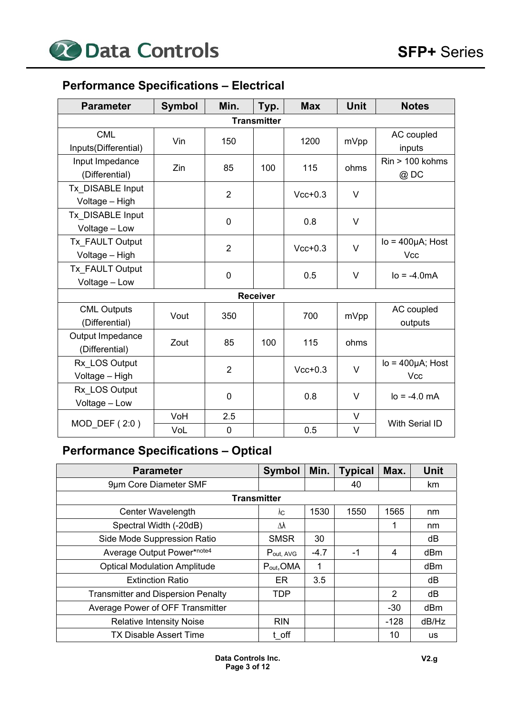# **Performance Specifications – Electrical**

| <b>Parameter</b>                     | <b>Symbol</b> | Min.           | Typ.               | <b>Max</b> | <b>Unit</b> | <b>Notes</b>                   |
|--------------------------------------|---------------|----------------|--------------------|------------|-------------|--------------------------------|
|                                      |               |                | <b>Transmitter</b> |            |             |                                |
| <b>CML</b><br>Inputs(Differential)   | Vin           | 150            |                    | 1200       | mVpp        | AC coupled<br>inputs           |
| Input Impedance<br>(Differential)    | Zin           | 85             | 100                | 115        | ohms        | $Rin > 100$ kohms<br>@DC       |
| Tx DISABLE Input<br>Voltage - High   |               | $\overline{2}$ |                    | $Vcc+0.3$  | $\vee$      |                                |
| Tx DISABLE Input<br>Voltage - Low    |               | 0              |                    | 0.8        | V           |                                |
| Tx FAULT Output<br>Voltage - High    |               | $\overline{2}$ |                    | $Vcc+0.3$  | $\vee$      | $Io = 400 \mu A$ ; Host<br>Vcc |
| Tx FAULT Output<br>Voltage - Low     |               | 0              |                    | 0.5        | V           | $I_0 = -4.0mA$                 |
|                                      |               |                | <b>Receiver</b>    |            |             |                                |
| <b>CML Outputs</b><br>(Differential) | Vout          | 350            |                    | 700        | mVpp        | AC coupled<br>outputs          |
| Output Impedance<br>(Differential)   | Zout          | 85             | 100                | 115        | ohms        |                                |
| Rx LOS Output<br>Voltage - High      |               | $\overline{2}$ |                    | $Vcc+0.3$  | $\vee$      | $Io = 400 \mu A$ ; Host<br>Vcc |
| Rx LOS Output<br>Voltage - Low       |               | $\mathbf 0$    |                    | 0.8        | V           | $I_0 = -4.0$ mA                |
| MOD_DEF (2:0)                        | VoH           | 2.5            |                    |            | V           | With Serial ID                 |
|                                      | VoL           | 0              |                    | 0.5        | V           |                                |

# **Performance Specifications – Optical**

| <b>Parameter</b>                          | <b>Symbol</b> | Min.   | <b>Typical</b> | Max.   | <b>Unit</b> |
|-------------------------------------------|---------------|--------|----------------|--------|-------------|
| 9µm Core Diameter SMF                     |               |        | 40             |        | km          |
| <b>Transmitter</b>                        |               |        |                |        |             |
| Center Wavelength                         | λс            | 1530   | 1550           | 1565   | nm          |
| Spectral Width (-20dB)                    | Δλ            |        |                |        | nm          |
| Side Mode Suppression Ratio               | <b>SMSR</b>   | 30     |                |        | dB          |
| Average Output Power*note4                | Pout, AVG     | $-4.7$ | -1             | 4      | dBm         |
| <b>Optical Modulation Amplitude</b>       | Pout, OMA     |        |                |        | dBm         |
| <b>Extinction Ratio</b>                   | ER.           | 3.5    |                |        | dB          |
| <b>Transmitter and Dispersion Penalty</b> | TDP           |        |                | 2      | dB          |
| Average Power of OFF Transmitter          |               |        |                | $-30$  | dBm         |
| <b>Relative Intensity Noise</b>           | <b>RIN</b>    |        |                | $-128$ | dB/Hz       |
| <b>TX Disable Assert Time</b>             | t off         |        |                | 10     | <b>us</b>   |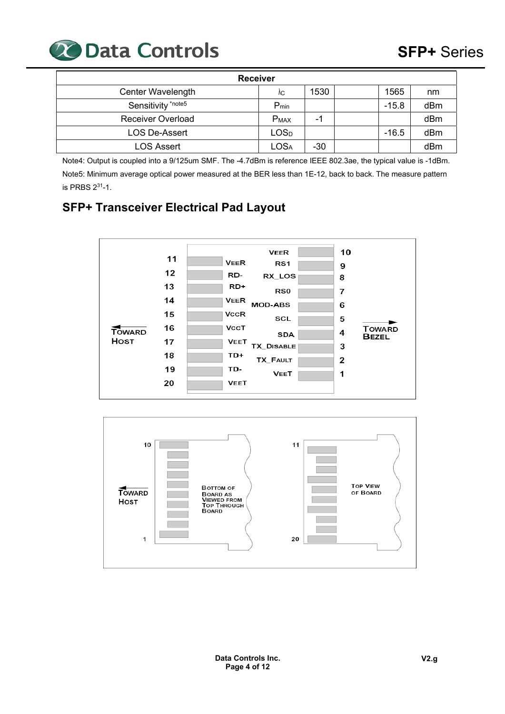

| <b>Receiver</b>          |                             |                          |  |         |     |  |  |  |  |
|--------------------------|-----------------------------|--------------------------|--|---------|-----|--|--|--|--|
| Center Wavelength        | ٨C                          | 1530                     |  | 1565    | nm  |  |  |  |  |
| Sensitivity *note5       | $P_{min}$                   |                          |  | $-15.8$ | dBm |  |  |  |  |
| <b>Receiver Overload</b> | <b>PMAX</b>                 | $\overline{\phantom{0}}$ |  |         | dBm |  |  |  |  |
| <b>LOS De-Assert</b>     | LOS <sub>D</sub>            |                          |  | $-16.5$ | dBm |  |  |  |  |
| <b>LOS Assert</b>        | $\mathsf{LOS}_{\mathsf{A}}$ | $-30$                    |  |         | dBm |  |  |  |  |

Note4: Output is coupled into a 9/125um SMF. The -4.7dBm is reference IEEE 802.3ae, the typical value is -1dBm. Note5: Minimum average optical power measured at the BER less than 1E-12, back to back. The measure pattern is PRBS 231-1.

# **SFP+ Transceiver Electrical Pad Layout**



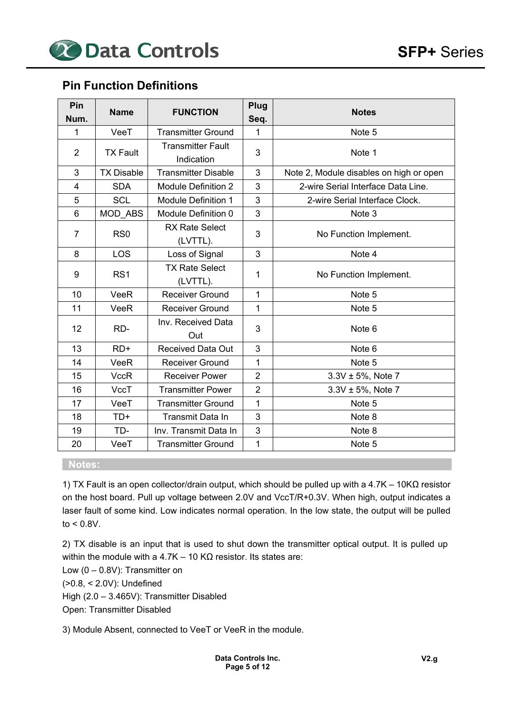## **Pin Function Definitions**

| Pin<br>Num.    | <b>Name</b>       | <b>FUNCTION</b>                        | Plug<br>Seq.   | <b>Notes</b>                            |
|----------------|-------------------|----------------------------------------|----------------|-----------------------------------------|
| 1              | VeeT              | <b>Transmitter Ground</b>              | 1              | Note 5                                  |
| $\overline{2}$ | <b>TX Fault</b>   | <b>Transmitter Fault</b><br>Indication | 3              | Note 1                                  |
| 3              | <b>TX Disable</b> | <b>Transmitter Disable</b>             | 3              | Note 2, Module disables on high or open |
| $\overline{4}$ | <b>SDA</b>        | <b>Module Definition 2</b>             | 3              | 2-wire Serial Interface Data Line.      |
| 5              | <b>SCL</b>        | <b>Module Definition 1</b>             | 3              | 2-wire Serial Interface Clock.          |
| 6              | MOD ABS           | Module Definition 0                    | 3              | Note <sub>3</sub>                       |
| $\overline{7}$ | RS <sub>0</sub>   | <b>RX Rate Select</b><br>(LVTTL).      | 3              | No Function Implement.                  |
| 8              | <b>LOS</b>        | Loss of Signal                         | 3              | Note 4                                  |
| 9              | RS <sub>1</sub>   | <b>TX Rate Select</b><br>(LVTTL).      | 1              | No Function Implement.                  |
| 10             | VeeR              | <b>Receiver Ground</b>                 | 1              | Note 5                                  |
| 11             | VeeR              | <b>Receiver Ground</b>                 | 1              | Note 5                                  |
| 12             | RD-               | Inv. Received Data<br>Out              | 3              | Note 6                                  |
| 13             | $RD+$             | <b>Received Data Out</b>               | 3              | Note 6                                  |
| 14             | VeeR              | <b>Receiver Ground</b>                 | 1              | Note 5                                  |
| 15             | <b>VccR</b>       | <b>Receiver Power</b>                  | $\overline{2}$ | $3.3V \pm 5%$ , Note 7                  |
| 16             | <b>VccT</b>       | <b>Transmitter Power</b>               | $\overline{2}$ | $3.3V \pm 5%$ , Note 7                  |
| 17             | VeeT              | <b>Transmitter Ground</b>              | $\mathbf{1}$   | Note 5                                  |
| 18             | $TD+$             | <b>Transmit Data In</b>                | 3              | Note 8                                  |
| 19             | TD-               | Inv. Transmit Data In                  | 3              | Note 8                                  |
| 20             | VeeT              | <b>Transmitter Ground</b>              | 1              | Note 5                                  |

### **Notes:**

1) TX Fault is an open collector/drain output, which should be pulled up with a 4.7K – 10KΩ resistor on the host board. Pull up voltage between 2.0V and VccT/R+0.3V. When high, output indicates a laser fault of some kind. Low indicates normal operation. In the low state, the output will be pulled to < 0.8V.

2) TX disable is an input that is used to shut down the transmitter optical output. It is pulled up within the module with a 4.7K – 10 KΩ resistor. Its states are:

Low  $(0 - 0.8V)$ : Transmitter on

(>0.8, < 2.0V): Undefined

High (2.0 – 3.465V): Transmitter Disabled

Open: Transmitter Disabled

3) Module Absent, connected to VeeT or VeeR in the module.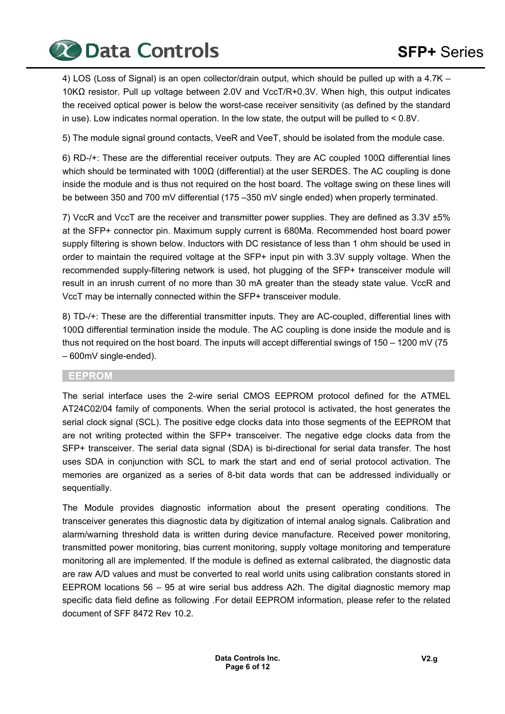**20 Data Controls SFP+ Series** 

4) LOS (Loss of Signal) is an open collector/drain output, which should be pulled up with a 4.7K – 10KΩ resistor. Pull up voltage between 2.0V and VccT/R+0.3V. When high, this output indicates the received optical power is below the worst-case receiver sensitivity (as defined by the standard in use). Low indicates normal operation. In the low state, the output will be pulled to  $< 0.8V$ .

5) The module signal ground contacts, VeeR and VeeT, should be isolated from the module case.

6) RD-/+: These are the differential receiver outputs. They are AC coupled 100Ω differential lines which should be terminated with 100Ω (differential) at the user SERDES. The AC coupling is done inside the module and is thus not required on the host board. The voltage swing on these lines will be between 350 and 700 mV differential (175 –350 mV single ended) when properly terminated.

7) VccR and VccT are the receiver and transmitter power supplies. They are defined as 3.3V ±5% at the SFP+ connector pin. Maximum supply current is 680Ma. Recommended host board power supply filtering is shown below. Inductors with DC resistance of less than 1 ohm should be used in order to maintain the required voltage at the SFP+ input pin with 3.3V supply voltage. When the recommended supply-filtering network is used, hot plugging of the SFP+ transceiver module will result in an inrush current of no more than 30 mA greater than the steady state value. VccR and VccT may be internally connected within the SFP+ transceiver module.

8) TD-/+: These are the differential transmitter inputs. They are AC-coupled, differential lines with 100Ω differential termination inside the module. The AC coupling is done inside the module and is thus not required on the host board. The inputs will accept differential swings of 150 – 1200 mV (75 – 600mV single-ended).

#### **EEPROM**

The serial interface uses the 2-wire serial CMOS EEPROM protocol defined for the ATMEL AT24C02/04 family of components. When the serial protocol is activated, the host generates the serial clock signal (SCL). The positive edge clocks data into those segments of the EEPROM that are not writing protected within the SFP+ transceiver. The negative edge clocks data from the SFP+ transceiver. The serial data signal (SDA) is bi-directional for serial data transfer. The host uses SDA in conjunction with SCL to mark the start and end of serial protocol activation. The memories are organized as a series of 8-bit data words that can be addressed individually or sequentially.

The Module provides diagnostic information about the present operating conditions. The transceiver generates this diagnostic data by digitization of internal analog signals. Calibration and alarm/warning threshold data is written during device manufacture. Received power monitoring, transmitted power monitoring, bias current monitoring, supply voltage monitoring and temperature monitoring all are implemented. If the module is defined as external calibrated, the diagnostic data are raw A/D values and must be converted to real world units using calibration constants stored in EEPROM locations 56 – 95 at wire serial bus address A2h. The digital diagnostic memory map specific data field define as following .For detail EEPROM information, please refer to the related document of SFF 8472 Rev 10.2.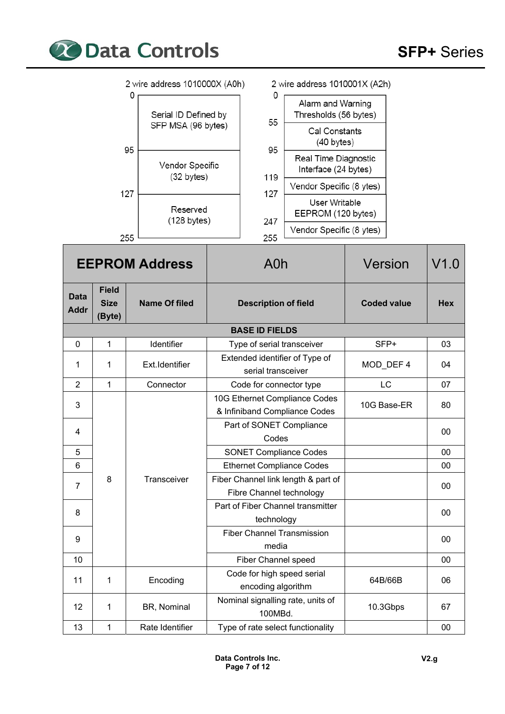

|                            |                                       | 2 wire address 1010000X (A0h)                   |                             |                                                  | 2 wire address 1010001X (A2h)                                  |                    |            |
|----------------------------|---------------------------------------|-------------------------------------------------|-----------------------------|--------------------------------------------------|----------------------------------------------------------------|--------------------|------------|
|                            |                                       | 0<br>Serial ID Defined by<br>SFP MSA (96 bytes) |                             | 0<br>55                                          | Alarm and Warning<br>Thresholds (56 bytes)                     |                    |            |
|                            |                                       |                                                 |                             |                                                  | Cal Constants<br>$(40 \text{ bytes})$                          |                    |            |
|                            |                                       | 95<br>Vendor Specific                           |                             | 95                                               | Real Time Diagnostic<br>Interface (24 bytes)                   |                    |            |
|                            |                                       | $(32 \text{ bytes})$                            |                             | 119                                              | Vendor Specific (8 ytes)                                       |                    |            |
|                            |                                       | 127<br>Reserved                                 |                             | 127                                              | User Writable                                                  |                    |            |
|                            |                                       | $(128 \text{ bytes})$                           |                             | 247                                              | EEPROM (120 bytes)<br>Vendor Specific (8 ytes)                 |                    |            |
|                            |                                       | 255                                             |                             | 255                                              |                                                                |                    |            |
|                            |                                       | <b>EEPROM Address</b>                           |                             | A0h                                              |                                                                | Version            | V1.0       |
| <b>Data</b><br><b>Addr</b> | <b>Field</b><br><b>Size</b><br>(Byte) | <b>Name Of filed</b>                            | <b>Description of field</b> |                                                  |                                                                | <b>Coded value</b> | <b>Hex</b> |
|                            |                                       |                                                 |                             | <b>BASE ID FIELDS</b>                            |                                                                |                    |            |
| $\mathbf 0$                | $\mathbf{1}$                          | Identifier                                      |                             | Type of serial transceiver                       |                                                                | SFP+               | 03         |
| 1                          | 1                                     | Ext.Identifier                                  |                             | serial transceiver                               | Extended identifier of Type of                                 | MOD_DEF 4          | 04         |
| $\overline{2}$             | $\mathbf{1}$                          | Connector                                       |                             | Code for connector type                          |                                                                | LC                 | 07         |
| 3                          |                                       |                                                 |                             |                                                  | 10G Ethernet Compliance Codes<br>& Infiniband Compliance Codes | 10G Base-ER        | 80         |
| 4                          |                                       |                                                 |                             | Codes                                            | Part of SONET Compliance                                       |                    | 00         |
| 5                          |                                       |                                                 |                             | <b>SONET Compliance Codes</b>                    |                                                                |                    | 00         |
| 6                          |                                       |                                                 |                             |                                                  | <b>Ethernet Compliance Codes</b>                               |                    | 00         |
| 7                          | 8                                     | Transceiver                                     |                             | Fibre Channel technology                         | Fiber Channel link length & part of                            |                    | $00\,$     |
| 8                          |                                       |                                                 |                             | technology                                       | Part of Fiber Channel transmitter                              |                    | $00\,$     |
|                            |                                       |                                                 |                             |                                                  | <b>Fiber Channel Transmission</b>                              |                    |            |
| 9                          |                                       |                                                 |                             | media                                            |                                                                |                    | $00\,$     |
| 10                         |                                       |                                                 |                             | <b>Fiber Channel speed</b>                       |                                                                |                    | $00\,$     |
| 11                         | 1                                     | Encoding                                        |                             | Code for high speed serial<br>encoding algorithm |                                                                | 64B/66B            | 06         |
| 12                         | 1                                     | BR, Nominal                                     |                             | 100MBd.                                          | Nominal signalling rate, units of                              | 10.3Gbps           | 67         |
| 13                         | $\mathbf{1}$                          | Rate Identifier                                 |                             |                                                  | Type of rate select functionality                              |                    | 00         |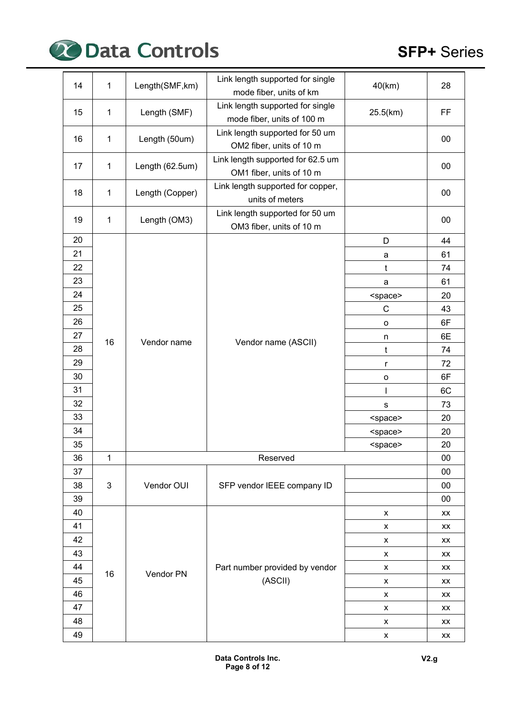

| 14 | 1            | Length(SMF, km) | Link length supported for single<br>mode fiber, units of km    | 40(km)          | 28 |
|----|--------------|-----------------|----------------------------------------------------------------|-----------------|----|
| 15 | 1            | Length (SMF)    | Link length supported for single<br>mode fiber, units of 100 m | 25.5(km)        | FF |
|    |              |                 |                                                                |                 |    |
| 16 | 1            | Length (50um)   | Link length supported for 50 um<br>OM2 fiber, units of 10 m    |                 | 00 |
| 17 | 1            | Length (62.5um) | Link length supported for 62.5 um<br>OM1 fiber, units of 10 m  |                 | 00 |
| 18 | 1            | Length (Copper) | Link length supported for copper,<br>units of meters           |                 | 00 |
| 19 | 1            | Length (OM3)    | Link length supported for 50 um<br>OM3 fiber, units of 10 m    |                 | 00 |
| 20 |              |                 |                                                                | D               | 44 |
| 21 |              |                 |                                                                | a               | 61 |
| 22 |              |                 |                                                                | t               | 74 |
| 23 |              |                 |                                                                | a               | 61 |
| 24 |              |                 |                                                                | <space></space> | 20 |
| 25 |              |                 | Vendor name (ASCII)                                            | $\mathsf{C}$    | 43 |
| 26 |              |                 |                                                                | $\mathsf{o}$    | 6F |
| 27 | 16           | Vendor name     |                                                                | n               | 6E |
| 28 |              |                 |                                                                | t               | 74 |
| 29 |              |                 | r                                                              | 72              |    |
| 30 |              |                 | $\mathsf{o}$                                                   | 6F              |    |
| 31 |              |                 |                                                                |                 | 6C |
| 32 |              |                 |                                                                | $\mathbf s$     | 73 |
| 33 |              |                 |                                                                | <space></space> | 20 |
| 34 |              |                 |                                                                | <space></space> | 20 |
| 35 |              |                 |                                                                | <space></space> | 20 |
| 36 | 1            |                 | Reserved                                                       |                 | 00 |
| 37 |              |                 |                                                                |                 | 00 |
| 38 | $\mathbf{3}$ | Vendor OUI      | SFP vendor IEEE company ID                                     |                 | 00 |
| 39 |              |                 |                                                                |                 | 00 |
| 40 |              |                 |                                                                | X               | XX |
| 41 |              |                 |                                                                | x               | XX |
| 42 |              |                 |                                                                | X               | XX |
| 43 |              |                 |                                                                | x               | XX |
| 44 | 16           | Vendor PN       | Part number provided by vendor                                 | X               | XX |
| 45 |              |                 | (ASCII)                                                        | X               | XX |
| 46 |              |                 |                                                                | X               | XX |
| 47 |              |                 |                                                                | х               | XX |
| 48 |              |                 |                                                                | X               | XX |
| 49 |              |                 |                                                                | X               | XX |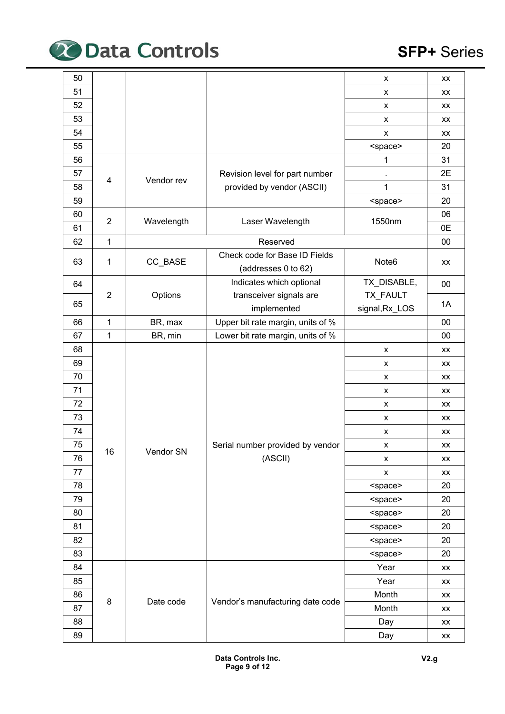

| 50 |                |            |                                   | X                 | XX     |
|----|----------------|------------|-----------------------------------|-------------------|--------|
| 51 |                |            |                                   | X                 | XX     |
| 52 |                |            |                                   | X                 | XX     |
| 53 |                |            |                                   | X                 | XX     |
| 54 |                |            |                                   | x                 | XX     |
| 55 |                |            |                                   | <space></space>   | 20     |
| 56 |                |            |                                   | 1                 | 31     |
| 57 |                |            | Revision level for part number    |                   | 2E     |
| 58 | 4              | Vendor rev | provided by vendor (ASCII)        | 1                 | 31     |
| 59 |                |            |                                   | <space></space>   | 20     |
| 60 |                |            |                                   |                   | 06     |
| 61 | $\overline{2}$ | Wavelength | Laser Wavelength                  | 1550nm            | 0E     |
| 62 | 1              |            | Reserved                          |                   | $00\,$ |
|    |                |            | Check code for Base ID Fields     |                   |        |
| 63 | 1              | CC_BASE    | (addresses 0 to 62)               | Note <sub>6</sub> | XX     |
| 64 |                |            | Indicates which optional          | TX_DISABLE,       | $00\,$ |
|    | $\overline{2}$ | Options    | transceiver signals are           | TX_FAULT          |        |
| 65 |                |            | implemented                       | signal, Rx_LOS    | 1A     |
| 66 | 1              | BR, max    | Upper bit rate margin, units of % |                   | 00     |
| 67 | 1              | BR, min    | Lower bit rate margin, units of % |                   | 00     |
| 68 |                |            |                                   | X                 | XX     |
| 69 |                |            |                                   | X                 | XX     |
| 70 |                |            |                                   | X                 | XX     |
| 71 |                |            |                                   | X                 | XX     |
| 72 |                |            |                                   | X                 | XX     |
| 73 |                |            |                                   | X                 | XX     |
| 74 |                |            |                                   | X                 | XX     |
| 75 |                |            | Serial number provided by vendor  | X                 | XX     |
| 76 | 16             | Vendor SN  | (ASCII)                           | x                 | XX     |
| 77 |                |            |                                   | x                 | XX     |
| 78 |                |            |                                   | <space></space>   | 20     |
| 79 |                |            |                                   | <space></space>   | 20     |
| 80 |                |            |                                   | <space></space>   | 20     |
| 81 |                |            |                                   | <space></space>   | 20     |
| 82 |                |            |                                   | <space></space>   | 20     |
| 83 |                |            |                                   | <space></space>   | 20     |
| 84 |                |            |                                   | Year              | XX     |
| 85 |                |            |                                   | Year              | XX     |
| 86 |                |            |                                   | Month             | XX     |
| 87 | 8              | Date code  | Vendor's manufacturing date code  | Month             | XX     |
| 88 |                |            |                                   | Day               | XX     |
| 89 |                |            |                                   | Day               | XX     |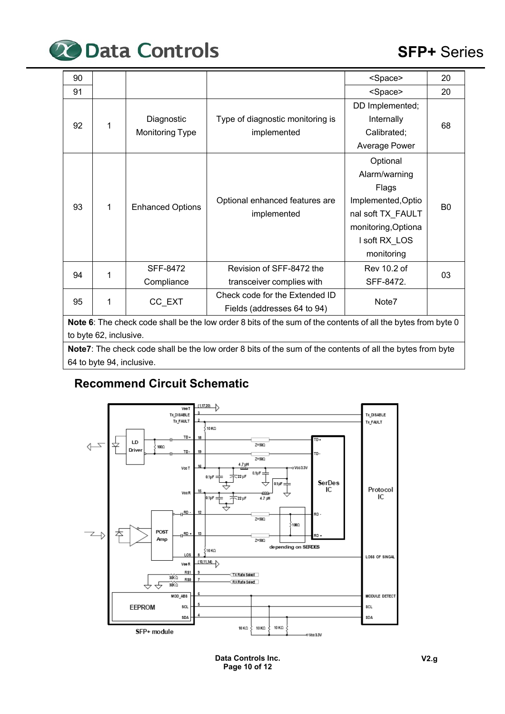

| 90 |                                                                                                              |                         |                                                                                                           | <space></space>     | 20             |  |  |  |
|----|--------------------------------------------------------------------------------------------------------------|-------------------------|-----------------------------------------------------------------------------------------------------------|---------------------|----------------|--|--|--|
| 91 |                                                                                                              |                         |                                                                                                           | <space></space>     | 20             |  |  |  |
|    |                                                                                                              |                         |                                                                                                           | DD Implemented;     |                |  |  |  |
| 92 | 1                                                                                                            | Diagnostic              | Type of diagnostic monitoring is                                                                          | Internally          | 68             |  |  |  |
|    |                                                                                                              | <b>Monitoring Type</b>  | implemented                                                                                               | Calibrated;         |                |  |  |  |
|    |                                                                                                              |                         |                                                                                                           | Average Power       |                |  |  |  |
|    |                                                                                                              |                         |                                                                                                           | Optional            |                |  |  |  |
|    |                                                                                                              |                         |                                                                                                           | Alarm/warning       |                |  |  |  |
|    |                                                                                                              |                         |                                                                                                           | Flags               |                |  |  |  |
| 93 | $\mathbf 1$                                                                                                  | <b>Enhanced Options</b> | Optional enhanced features are                                                                            | Implemented, Optio  | B <sub>0</sub> |  |  |  |
|    |                                                                                                              |                         | implemented                                                                                               | nal soft TX_FAULT   |                |  |  |  |
|    |                                                                                                              |                         |                                                                                                           | monitoring, Optiona |                |  |  |  |
|    |                                                                                                              |                         |                                                                                                           | I soft RX_LOS       |                |  |  |  |
|    |                                                                                                              |                         |                                                                                                           | monitoring          |                |  |  |  |
| 94 | 1                                                                                                            | <b>SFF-8472</b>         | Revision of SFF-8472 the                                                                                  | Rev 10.2 of         | 03             |  |  |  |
|    |                                                                                                              | Compliance              | transceiver complies with                                                                                 | SFF-8472.           |                |  |  |  |
| 95 | 1                                                                                                            | CC_EXT                  | Check code for the Extended ID                                                                            | Note7               |                |  |  |  |
|    |                                                                                                              |                         | Fields (addresses 64 to 94)                                                                               |                     |                |  |  |  |
|    | Note 6: The check code shall be the low order 8 bits of the sum of the contents of all the bytes from byte 0 |                         |                                                                                                           |                     |                |  |  |  |
|    | to byte 62, inclusive.                                                                                       |                         |                                                                                                           |                     |                |  |  |  |
|    |                                                                                                              |                         | Note7: The check code shall be the low order 8 bits of the sum of the contents of all the bytes from byte |                     |                |  |  |  |

e low order 8 bits of the sum of the contents of all the bytes from byte 64 to byte 94, inclusive.

# **Recommend Circuit Schematic**



**Data Controls Inc. Page 10 of 12**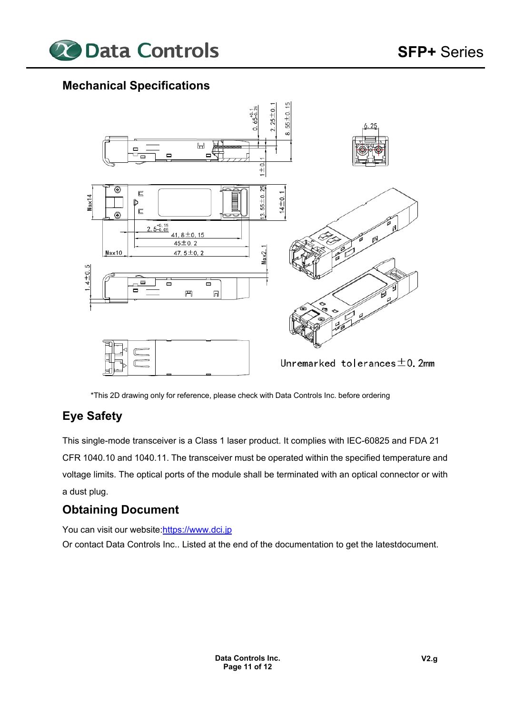

# **Mechanical Specifications**



\*This 2D drawing only for reference, please check with Data Controls Inc. before ordering

# **Eye Safety**

This single-mode transceiver is a Class 1 laser product. It complies with IEC-60825 and FDA 21 CFR 1040.10 and 1040.11. The transceiver must be operated within the specified temperature and voltage limits. The optical ports of the module shall be terminated with an optical connector or with a dust plug.

# **Obtaining Document**

You can visit our website:https://www.dci.jp

Or contact Data Controls Inc.. Listed at the end of the documentation to get the latest document.